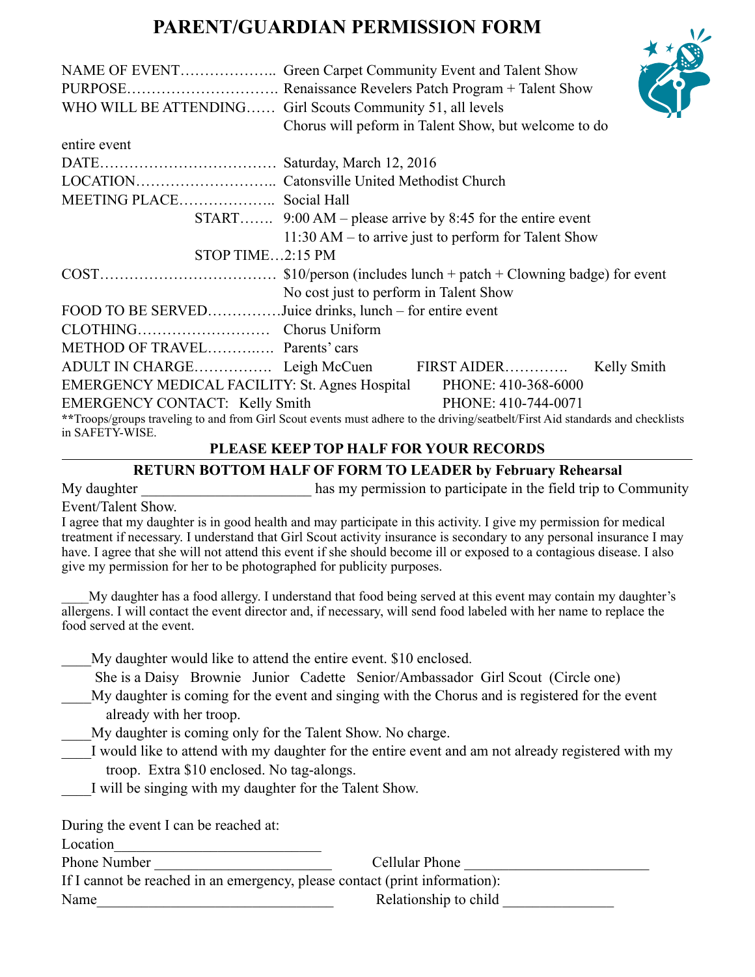## **PARENT/GUARDIAN PERMISSION FORM**

|                                                          | WHO WILL BE ATTENDING Girl Scouts Community 51, all levels<br>Chorus will peform in Talent Show, but welcome to do                                    |  |
|----------------------------------------------------------|-------------------------------------------------------------------------------------------------------------------------------------------------------|--|
| entire event                                             |                                                                                                                                                       |  |
|                                                          |                                                                                                                                                       |  |
|                                                          |                                                                                                                                                       |  |
| MEETING PLACE Social Hall                                |                                                                                                                                                       |  |
|                                                          | START $9:00 \text{ AM} - \text{please arrive by } 8:45 \text{ for the entire event}$                                                                  |  |
|                                                          | $11:30$ AM – to arrive just to perform for Talent Show                                                                                                |  |
| STOP TIME2:15 PM                                         |                                                                                                                                                       |  |
|                                                          |                                                                                                                                                       |  |
|                                                          | No cost just to perform in Talent Show                                                                                                                |  |
|                                                          | FOOD TO BE SERVEDJuice drinks, lunch – for entire event                                                                                               |  |
|                                                          |                                                                                                                                                       |  |
| METHOD OF TRAVEL Parents' cars                           |                                                                                                                                                       |  |
|                                                          | ADULT IN CHARGE Leigh McCuen FIRST AIDER<br>Kelly Smith                                                                                               |  |
| EMERGENCY MEDICAL FACILITY: St. Agnes Hospital           | PHONE: 410-368-6000                                                                                                                                   |  |
| <b>EMERGENCY CONTACT:</b> Kelly Smith<br>in SAFETY-WISE. | PHONE: 410-744-0071<br>**Troops/groups traveling to and from Girl Scout events must adhere to the driving/seatbelt/First Aid standards and checklists |  |

## **PLEASE KEEP TOP HALF FOR YOUR RECORDS**

## **RETURN BOTTOM HALF OF FORM TO LEADER by February Rehearsal**

My daughter has my permission to participate in the field trip to Community Event/Talent Show.

I agree that my daughter is in good health and may participate in this activity. I give my permission for medical treatment if necessary. I understand that Girl Scout activity insurance is secondary to any personal insurance I may have. I agree that she will not attend this event if she should become ill or exposed to a contagious disease. I also give my permission for her to be photographed for publicity purposes.

\_\_\_\_My daughter has a food allergy. I understand that food being served at this event may contain my daughter's allergens. I will contact the event director and, if necessary, will send food labeled with her name to replace the food served at the event.

My daughter would like to attend the entire event. \$10 enclosed.

She is a Daisy Brownie Junior Cadette Senior/Ambassador Girl Scout (Circle one)

My daughter is coming for the event and singing with the Chorus and is registered for the event already with her troop.

\_\_\_\_My daughter is coming only for the Talent Show. No charge.

I would like to attend with my daughter for the entire event and am not already registered with my troop. Extra \$10 enclosed. No tag-alongs.

\_\_\_\_I will be singing with my daughter for the Talent Show.

During the event I can be reached at:

Location

Phone Number **Example 2** Cellular Phone **Cellular Phone Cellular Phone Cellular Phone Cellular Phone Cellular Phone Cellular Phone Cellular Phone Cellular Phone Cellular Phone Cellular Phone Cellular Ph** 

If I cannot be reached in an emergency, please contact (print information):

Name Relationship to child